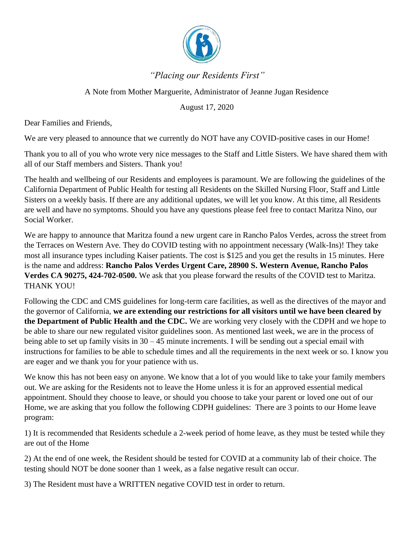

## *"Placing our Residents First"*

## A Note from Mother Marguerite, Administrator of Jeanne Jugan Residence

August 17, 2020

Dear Families and Friends,

We are very pleased to announce that we currently do NOT have any COVID-positive cases in our Home!

Thank you to all of you who wrote very nice messages to the Staff and Little Sisters. We have shared them with all of our Staff members and Sisters. Thank you!

The health and wellbeing of our Residents and employees is paramount. We are following the guidelines of the California Department of Public Health for testing all Residents on the Skilled Nursing Floor, Staff and Little Sisters on a weekly basis. If there are any additional updates, we will let you know. At this time, all Residents are well and have no symptoms. Should you have any questions please feel free to contact Maritza Nino, our Social Worker.

We are happy to announce that Maritza found a new urgent care in Rancho Palos Verdes, across the street from the Terraces on Western Ave. They do COVID testing with no appointment necessary (Walk-Ins)! They take most all insurance types including Kaiser patients. The cost is \$125 and you get the results in 15 minutes. Here is the name and address: **Rancho Palos Verdes Urgent Care, 28900 S. Western Avenue, Rancho Palos Verdes CA 90275, 424-702-0500.** We ask that you please forward the results of the COVID test to Maritza. THANK YOU!

Following the CDC and CMS guidelines for long-term care facilities, as well as the directives of the mayor and the governor of California, **we are extending our restrictions for all visitors until we have been cleared by the Department of Public Health and the CDC.** We are working very closely with the CDPH and we hope to be able to share our new regulated visitor guidelines soon. As mentioned last week, we are in the process of being able to set up family visits in 30 – 45 minute increments. I will be sending out a special email with instructions for families to be able to schedule times and all the requirements in the next week or so. I know you are eager and we thank you for your patience with us.

We know this has not been easy on anyone. We know that a lot of you would like to take your family members out. We are asking for the Residents not to leave the Home unless it is for an approved essential medical appointment. Should they choose to leave, or should you choose to take your parent or loved one out of our Home, we are asking that you follow the following CDPH guidelines: There are 3 points to our Home leave program:

1) It is recommended that Residents schedule a 2-week period of home leave, as they must be tested while they are out of the Home

2) At the end of one week, the Resident should be tested for COVID at a community lab of their choice. The testing should NOT be done sooner than 1 week, as a false negative result can occur.

3) The Resident must have a WRITTEN negative COVID test in order to return.